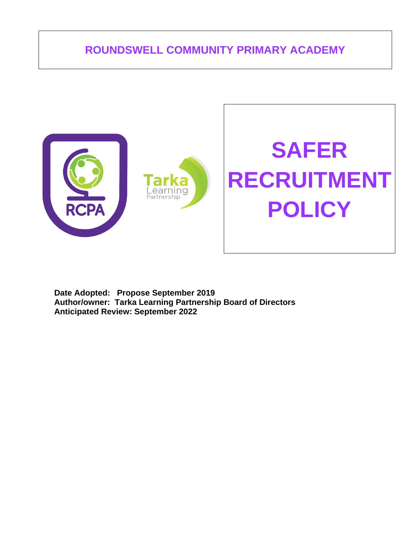# **ROUNDSWELL COMMUNITY PRIMARY ACADEMY**



**Date Adopted: Propose September 2019 Author/owner: Tarka Learning Partnership Board of Directors Anticipated Review: September 2022**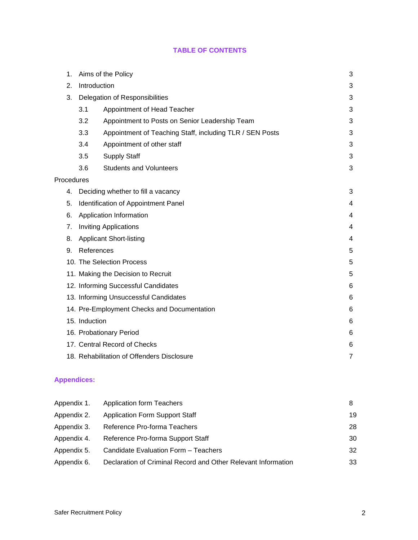## **TABLE OF CONTENTS**

| 1.         | Aims of the Policy |                                                          |                |  |  |  |
|------------|--------------------|----------------------------------------------------------|----------------|--|--|--|
| 2.         | Introduction       |                                                          | 3              |  |  |  |
| 3.         |                    | Delegation of Responsibilities                           | 3              |  |  |  |
|            | 3.1                | Appointment of Head Teacher                              | 3              |  |  |  |
|            | 3.2                | Appointment to Posts on Senior Leadership Team           | 3              |  |  |  |
|            | 3.3                | Appointment of Teaching Staff, including TLR / SEN Posts | 3              |  |  |  |
|            | 3.4                | Appointment of other staff                               | 3              |  |  |  |
|            | 3.5                | <b>Supply Staff</b>                                      | 3              |  |  |  |
|            | 3.6                | <b>Students and Volunteers</b>                           | 3              |  |  |  |
| Procedures |                    |                                                          |                |  |  |  |
| 4.         |                    | Deciding whether to fill a vacancy                       | 3              |  |  |  |
| 5.         |                    | Identification of Appointment Panel                      | 4              |  |  |  |
| 6.         |                    | Application Information                                  | 4              |  |  |  |
| 7.         |                    | <b>Inviting Applications</b>                             | 4              |  |  |  |
| 8.         |                    | <b>Applicant Short-listing</b>                           | 4              |  |  |  |
| 9.         | References         |                                                          | 5              |  |  |  |
|            |                    | 10. The Selection Process                                | 5              |  |  |  |
|            |                    | 11. Making the Decision to Recruit                       | 5              |  |  |  |
|            |                    | 12. Informing Successful Candidates                      | 6              |  |  |  |
|            |                    | 13. Informing Unsuccessful Candidates                    | 6              |  |  |  |
|            |                    | 14. Pre-Employment Checks and Documentation              | 6              |  |  |  |
|            | 15. Induction      |                                                          | 6              |  |  |  |
|            |                    | 16. Probationary Period                                  | 6              |  |  |  |
|            |                    | 17. Central Record of Checks                             | 6              |  |  |  |
|            |                    | 18. Rehabilitation of Offenders Disclosure               | $\overline{7}$ |  |  |  |
|            |                    |                                                          |                |  |  |  |

## **Appendices:**

| Appendix 1. | <b>Application form Teachers</b>                              | 8  |
|-------------|---------------------------------------------------------------|----|
| Appendix 2. | <b>Application Form Support Staff</b>                         | 19 |
| Appendix 3. | Reference Pro-forma Teachers                                  | 28 |
| Appendix 4. | Reference Pro-forma Support Staff                             | 30 |
| Appendix 5. | Candidate Evaluation Form - Teachers                          | 32 |
| Appendix 6. | Declaration of Criminal Record and Other Relevant Information | 33 |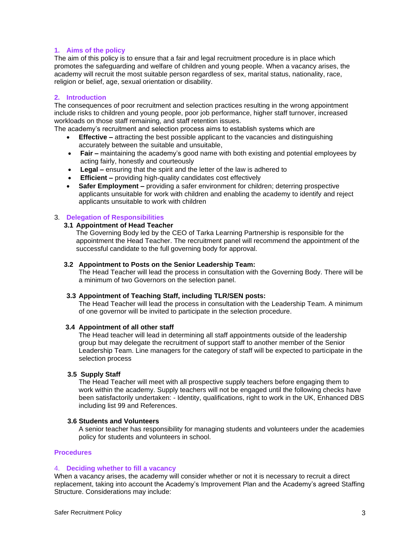### **1. Aims of the policy**

The aim of this policy is to ensure that a fair and legal recruitment procedure is in place which promotes the safeguarding and welfare of children and young people. When a vacancy arises, the academy will recruit the most suitable person regardless of sex, marital status, nationality, race, religion or belief, age, sexual orientation or disability.

#### **2. Introduction**

The consequences of poor recruitment and selection practices resulting in the wrong appointment include risks to children and young people, poor job performance, higher staff turnover, increased workloads on those staff remaining, and staff retention issues.

The academy's recruitment and selection process aims to establish systems which are

- **Effective –** attracting the best possible applicant to the vacancies and distinguishing accurately between the suitable and unsuitable,
- **Fair –** maintaining the academy's good name with both existing and potential employees by acting fairly, honestly and courteously
- **Legal –** ensuring that the spirit and the letter of the law is adhered to
- **Efficient –** providing high-quality candidates cost effectively
- **Safer Employment –** providing a safer environment for children; deterring prospective applicants unsuitable for work with children and enabling the academy to identify and reject applicants unsuitable to work with children

### 3. **Delegation of Responsibilities**

#### **3.1 Appointment of Head Teacher**

The Governing Body led by the CEO of Tarka Learning Partnership is responsible for the appointment the Head Teacher. The recruitment panel will recommend the appointment of the successful candidate to the full governing body for approval.

#### **3.2 Appointment to Posts on the Senior Leadership Team:**

The Head Teacher will lead the process in consultation with the Governing Body. There will be a minimum of two Governors on the selection panel.

#### **3.3 Appointment of Teaching Staff, including TLR/SEN posts:**

The Head Teacher will lead the process in consultation with the Leadership Team. A minimum of one governor will be invited to participate in the selection procedure.

#### **3.4 Appointment of all other staff**

The Head teacher will lead in determining all staff appointments outside of the leadership group but may delegate the recruitment of support staff to another member of the Senior Leadership Team. Line managers for the category of staff will be expected to participate in the selection process

#### **3.5 Supply Staff**

The Head Teacher will meet with all prospective supply teachers before engaging them to work within the academy. Supply teachers will not be engaged until the following checks have been satisfactorily undertaken: - Identity, qualifications, right to work in the UK, Enhanced DBS including list 99 and References.

#### **3.6 Students and Volunteers**

A senior teacher has responsibility for managing students and volunteers under the academies policy for students and volunteers in school.

#### **Procedures**

#### 4. **Deciding whether to fill a vacancy**

When a vacancy arises, the academy will consider whether or not it is necessary to recruit a direct replacement, taking into account the Academy's Improvement Plan and the Academy's agreed Staffing Structure. Considerations may include: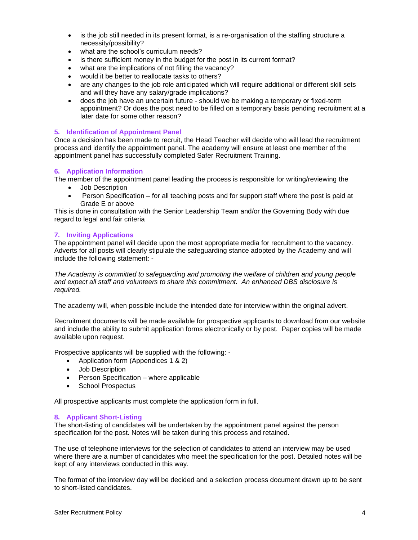- is the job still needed in its present format, is a re-organisation of the staffing structure a necessity/possibility?
- what are the school's curriculum needs?
- is there sufficient money in the budget for the post in its current format?
- what are the implications of not filling the vacancy?
- would it be better to reallocate tasks to others?
- are any changes to the job role anticipated which will require additional or different skill sets and will they have any salary/grade implications?
- does the job have an uncertain future should we be making a temporary or fixed-term appointment? Or does the post need to be filled on a temporary basis pending recruitment at a later date for some other reason?

#### **5. Identification of Appointment Panel**

Once a decision has been made to recruit, the Head Teacher will decide who will lead the recruitment process and identify the appointment panel. The academy will ensure at least one member of the appointment panel has successfully completed Safer Recruitment Training.

#### **6. Application Information**

The member of the appointment panel leading the process is responsible for writing/reviewing the

- Job Description
- Person Specification for all teaching posts and for support staff where the post is paid at Grade E or above

This is done in consultation with the Senior Leadership Team and/or the Governing Body with due regard to legal and fair criteria

### **7. Inviting Applications**

The appointment panel will decide upon the most appropriate media for recruitment to the vacancy. Adverts for all posts will clearly stipulate the safeguarding stance adopted by the Academy and will include the following statement: -

*The Academy is committed to safeguarding and promoting the welfare of children and young people and expect all staff and volunteers to share this commitment. An enhanced DBS disclosure is required.*

The academy will, when possible include the intended date for interview within the original advert.

Recruitment documents will be made available for prospective applicants to download from our website and include the ability to submit application forms electronically or by post. Paper copies will be made available upon request.

Prospective applicants will be supplied with the following: -

- Application form (Appendices 1 & 2)
- Job Description
- Person Specification where applicable
- School Prospectus

All prospective applicants must complete the application form in full.

#### **8. Applicant Short-Listing**

The short-listing of candidates will be undertaken by the appointment panel against the person specification for the post. Notes will be taken during this process and retained.

The use of telephone interviews for the selection of candidates to attend an interview may be used where there are a number of candidates who meet the specification for the post. Detailed notes will be kept of any interviews conducted in this way.

The format of the interview day will be decided and a selection process document drawn up to be sent to short-listed candidates.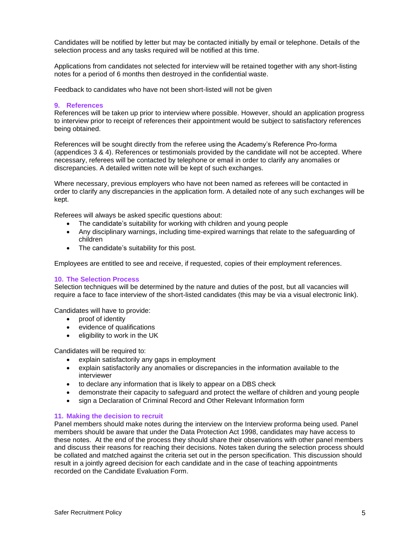Candidates will be notified by letter but may be contacted initially by email or telephone. Details of the selection process and any tasks required will be notified at this time.

Applications from candidates not selected for interview will be retained together with any short-listing notes for a period of 6 months then destroyed in the confidential waste.

Feedback to candidates who have not been short-listed will not be given

#### **9. References**

References will be taken up prior to interview where possible. However, should an application progress to interview prior to receipt of references their appointment would be subject to satisfactory references being obtained.

References will be sought directly from the referee using the Academy's Reference Pro-forma (appendices 3 & 4). References or testimonials provided by the candidate will not be accepted. Where necessary, referees will be contacted by telephone or email in order to clarify any anomalies or discrepancies. A detailed written note will be kept of such exchanges.

Where necessary, previous employers who have not been named as referees will be contacted in order to clarify any discrepancies in the application form. A detailed note of any such exchanges will be kept.

Referees will always be asked specific questions about:

- The candidate's suitability for working with children and young people
- Any disciplinary warnings, including time-expired warnings that relate to the safeguarding of children
- The candidate's suitability for this post.

Employees are entitled to see and receive, if requested, copies of their employment references.

#### **10. The Selection Process**

Selection techniques will be determined by the nature and duties of the post, but all vacancies will require a face to face interview of the short-listed candidates (this may be via a visual electronic link).

Candidates will have to provide:

- proof of identity
- evidence of qualifications
- eligibility to work in the UK

Candidates will be required to:

- explain satisfactorily any gaps in employment
- explain satisfactorily any anomalies or discrepancies in the information available to the interviewer
- to declare any information that is likely to appear on a DBS check
- demonstrate their capacity to safeguard and protect the welfare of children and young people
- sign a Declaration of Criminal Record and Other Relevant Information form

#### **11. Making the decision to recruit**

Panel members should make notes during the interview on the Interview proforma being used. Panel members should be aware that under the Data Protection Act 1998, candidates may have access to these notes. At the end of the process they should share their observations with other panel members and discuss their reasons for reaching their decisions. Notes taken during the selection process should be collated and matched against the criteria set out in the person specification. This discussion should result in a jointly agreed decision for each candidate and in the case of teaching appointments recorded on the Candidate Evaluation Form.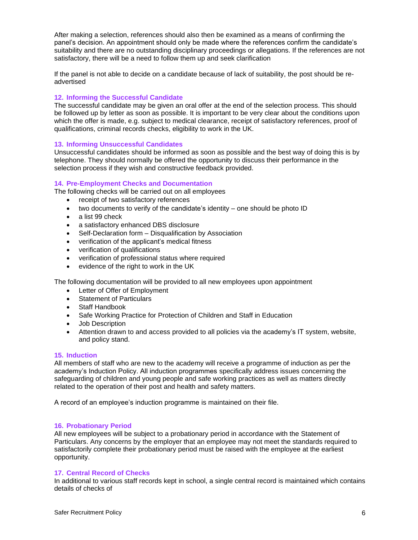After making a selection, references should also then be examined as a means of confirming the panel's decision. An appointment should only be made where the references confirm the candidate's suitability and there are no outstanding disciplinary proceedings or allegations. If the references are not satisfactory, there will be a need to follow them up and seek clarification

If the panel is not able to decide on a candidate because of lack of suitability, the post should be readvertised

### **12. Informing the Successful Candidate**

The successful candidate may be given an oral offer at the end of the selection process. This should be followed up by letter as soon as possible. It is important to be very clear about the conditions upon which the offer is made, e.g. subject to medical clearance, receipt of satisfactory references, proof of qualifications, criminal records checks, eligibility to work in the UK.

#### **13. Informing Unsuccessful Candidates**

Unsuccessful candidates should be informed as soon as possible and the best way of doing this is by telephone. They should normally be offered the opportunity to discuss their performance in the selection process if they wish and constructive feedback provided.

### **14. Pre-Employment Checks and Documentation**

The following checks will be carried out on all employees

- receipt of two satisfactory references
- two documents to verify of the candidate's identity one should be photo ID
- a list 99 check
- a satisfactory enhanced DBS disclosure
- Self-Declaration form Disqualification by Association
- verification of the applicant's medical fitness
- verification of qualifications
- verification of professional status where required
- evidence of the right to work in the UK

The following documentation will be provided to all new employees upon appointment

- Letter of Offer of Employment
- Statement of Particulars
- Staff Handbook
- Safe Working Practice for Protection of Children and Staff in Education
- Job Description
- Attention drawn to and access provided to all policies via the academy's IT system, website, and policy stand.

#### **15. Induction**

All members of staff who are new to the academy will receive a programme of induction as per the academy's Induction Policy. All induction programmes specifically address issues concerning the safeguarding of children and young people and safe working practices as well as matters directly related to the operation of their post and health and safety matters.

A record of an employee's induction programme is maintained on their file.

#### **16. Probationary Period**

All new employees will be subject to a probationary period in accordance with the Statement of Particulars. Any concerns by the employer that an employee may not meet the standards required to satisfactorily complete their probationary period must be raised with the employee at the earliest opportunity.

#### **17. Central Record of Checks**

In additional to various staff records kept in school, a single central record is maintained which contains details of checks of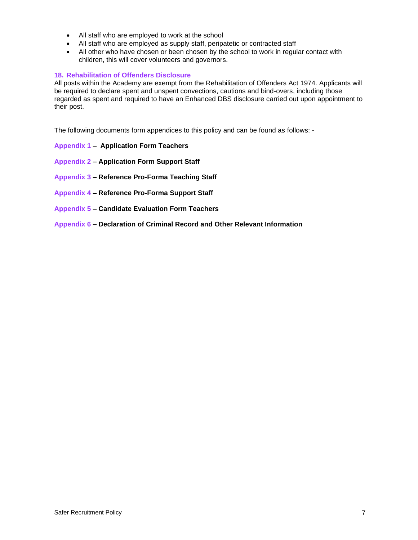- All staff who are employed to work at the school
- All staff who are employed as supply staff, peripatetic or contracted staff
- All other who have chosen or been chosen by the school to work in regular contact with children, this will cover volunteers and governors.

### **18. Rehabilitation of Offenders Disclosure**

All posts within the Academy are exempt from the Rehabilitation of Offenders Act 1974. Applicants will be required to declare spent and unspent convections, cautions and bind-overs, including those regarded as spent and required to have an Enhanced DBS disclosure carried out upon appointment to their post.

The following documents form appendices to this policy and can be found as follows: -

- **Appendix 1 [Application Form Teachers](file://///Winserver/office$/Academy%20Policies/Safer%20Recruitment/Appendix%201%20Application%20Form%20Teacher.doc)**
- **Appendix 2 – [Application Form Support Staff](file://///Winserver/office$/Academy%20Policies/Safer%20Recruitment/Appendix%202%20Application%20Form%20Support%20Staff.doc)**
- **Appendix 3 – [Reference Pro-Forma Teaching Staff](file://///Winserver/office$/Academy%20Policies/Safer%20Recruitment/Appendix%203%20Reference%20Request%20Teachers.docx)**
- **Appendix 4 – [Reference Pro-Forma Support Staff](file://///Winserver/office$/Academy%20Policies/Safer%20Recruitment/Appendix%204%20Reference%20Request%20Support%20Staff.docx)**
- **Appendix 5 – [Candidate Evaluation Form Teachers](file://///Winserver/office$/Academy%20Policies/Safer%20Recruitment/Appendix%205%20Candidates%20final%20evaluation%5bTeacher%5d.doc)**
- **Appendix 6 – [Declaration of Criminal Record and Other Relevant Information](file:///C:/Users/estubbs/AppData/Local/Temp/Temp1_Staff%20Appointments%20procedure%20including%20DBS%20and%20vertting%20procedures.zip/Appendix%206%20Self-Disclosure%20Forms%20(for%20New%20Workers).doc)**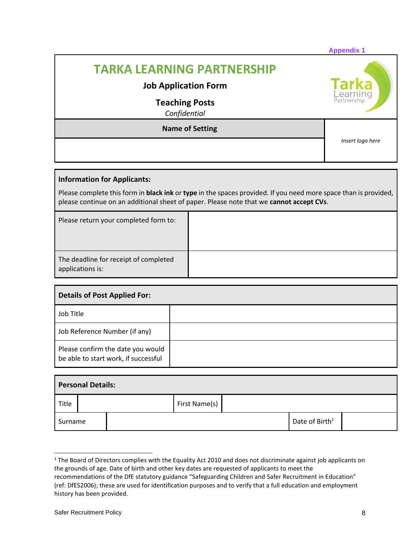|                                                                                                           | <b>Appendix 1</b> |
|-----------------------------------------------------------------------------------------------------------|-------------------|
| <b>TARKA LEARNING PARTNERSHIP</b><br><b>Job Application Form</b><br><b>Teaching Posts</b><br>Confidential | Tarka<br>Learning |
| <b>Name of Setting</b>                                                                                    | Insert logo here  |
|                                                                                                           |                   |

## **Information for Applicants:**

Please complete this form in **black ink** or **type** in the spaces provided. If you need more space than is provided, please continue on an additional sheet of paper. Please note that we **cannot accept CVs**.

| Please return your completed form to:                     |  |
|-----------------------------------------------------------|--|
| The deadline for receipt of completed<br>applications is: |  |

| <b>Details of Post Applied For:</b>                                       |  |  |  |  |  |  |
|---------------------------------------------------------------------------|--|--|--|--|--|--|
| Job Title                                                                 |  |  |  |  |  |  |
| Job Reference Number (if any)                                             |  |  |  |  |  |  |
| Please confirm the date you would<br>be able to start work, if successful |  |  |  |  |  |  |

| <b>Personal Details:</b> |               |  |  |  |                            |  |  |
|--------------------------|---------------|--|--|--|----------------------------|--|--|
| Title                    | First Name(s) |  |  |  |                            |  |  |
| Surname                  |               |  |  |  | Date of Birth <sup>1</sup> |  |  |

<sup>&</sup>lt;sup>1</sup> The Board of Directors complies with the Equality Act 2010 and does not discriminate against job applicants on the grounds of age. Date of birth and other key dates are requested of applicants to meet the recommendations of the DfE statutory guidance "Safeguarding Children and Safer Recruitment in Education" (ref: DfES2006); these are used for identification purposes and to verify that a full education and employment history has been provided.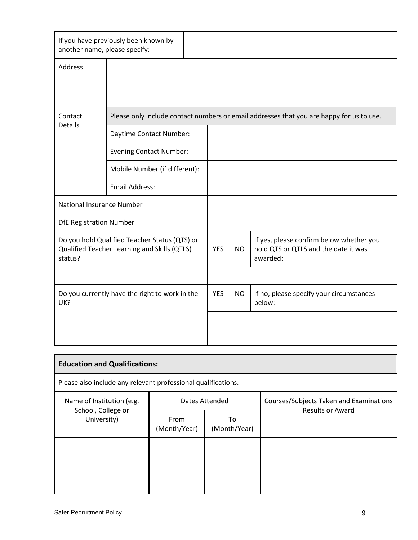| If you have previously been known by<br>another name, please specify:                                    |                                |  |           |                                                                                              |
|----------------------------------------------------------------------------------------------------------|--------------------------------|--|-----------|----------------------------------------------------------------------------------------------|
| <b>Address</b>                                                                                           |                                |  |           |                                                                                              |
|                                                                                                          |                                |  |           |                                                                                              |
| Contact<br><b>Details</b>                                                                                |                                |  |           | Please only include contact numbers or email addresses that you are happy for us to use.     |
|                                                                                                          | Daytime Contact Number:        |  |           |                                                                                              |
|                                                                                                          | <b>Evening Contact Number:</b> |  |           |                                                                                              |
|                                                                                                          | Mobile Number (if different):  |  |           |                                                                                              |
|                                                                                                          | <b>Email Address:</b>          |  |           |                                                                                              |
| National Insurance Number                                                                                |                                |  |           |                                                                                              |
| <b>DfE Registration Number</b>                                                                           |                                |  |           |                                                                                              |
| Do you hold Qualified Teacher Status (QTS) or<br>Qualified Teacher Learning and Skills (QTLS)<br>status? |                                |  | <b>NO</b> | If yes, please confirm below whether you<br>hold QTS or QTLS and the date it was<br>awarded: |
|                                                                                                          |                                |  |           |                                                                                              |
| Do you currently have the right to work in the<br>UK?                                                    |                                |  | <b>NO</b> | If no, please specify your circumstances<br>below:                                           |
|                                                                                                          |                                |  |           |                                                                                              |

| <b>Education and Qualifications:</b>                          |                      |                    |                                                                    |  |  |  |  |  |  |
|---------------------------------------------------------------|----------------------|--------------------|--------------------------------------------------------------------|--|--|--|--|--|--|
| Please also include any relevant professional qualifications. |                      |                    |                                                                    |  |  |  |  |  |  |
| Name of Institution (e.g.                                     |                      | Dates Attended     | Courses/Subjects Taken and Examinations<br><b>Results or Award</b> |  |  |  |  |  |  |
| School, College or<br>University)                             | From<br>(Month/Year) | To<br>(Month/Year) |                                                                    |  |  |  |  |  |  |
|                                                               |                      |                    |                                                                    |  |  |  |  |  |  |
|                                                               |                      |                    |                                                                    |  |  |  |  |  |  |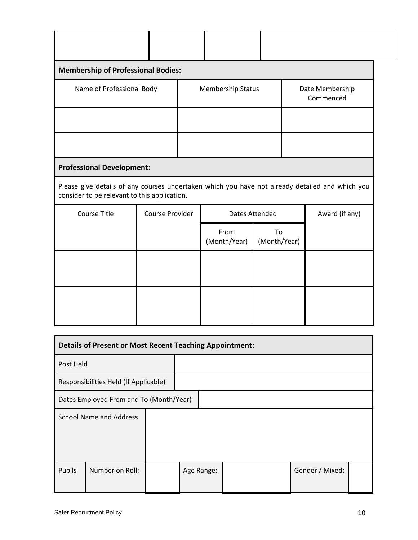| <b>Membership of Professional Bodies:</b>                                                                                                       |                           |  |                                            |                       |                              |                |  |  |
|-------------------------------------------------------------------------------------------------------------------------------------------------|---------------------------|--|--------------------------------------------|-----------------------|------------------------------|----------------|--|--|
|                                                                                                                                                 | Name of Professional Body |  | <b>Membership Status</b>                   |                       | Date Membership<br>Commenced |                |  |  |
|                                                                                                                                                 |                           |  |                                            |                       |                              |                |  |  |
|                                                                                                                                                 |                           |  |                                            |                       |                              |                |  |  |
| <b>Professional Development:</b>                                                                                                                |                           |  |                                            |                       |                              |                |  |  |
| Please give details of any courses undertaken which you have not already detailed and which you<br>consider to be relevant to this application. |                           |  |                                            |                       |                              |                |  |  |
| <b>Course Title</b>                                                                                                                             | Course Provider           |  |                                            | <b>Dates Attended</b> |                              | Award (if any) |  |  |
|                                                                                                                                                 |                           |  | From<br>To<br>(Month/Year)<br>(Month/Year) |                       |                              |                |  |  |
|                                                                                                                                                 |                           |  |                                            |                       |                              |                |  |  |
|                                                                                                                                                 |                           |  |                                            |                       |                              |                |  |  |
|                                                                                                                                                 |                           |  |                                            |                       |                              |                |  |  |
|                                                                                                                                                 |                           |  |                                            |                       |                              |                |  |  |

| <b>Details of Present or Most Recent Teaching Appointment:</b> |                                         |  |            |  |                 |  |
|----------------------------------------------------------------|-----------------------------------------|--|------------|--|-----------------|--|
| Post Held                                                      |                                         |  |            |  |                 |  |
| Responsibilities Held (If Applicable)                          |                                         |  |            |  |                 |  |
|                                                                | Dates Employed From and To (Month/Year) |  |            |  |                 |  |
| <b>School Name and Address</b>                                 |                                         |  |            |  |                 |  |
| Pupils                                                         | Number on Roll:                         |  | Age Range: |  | Gender / Mixed: |  |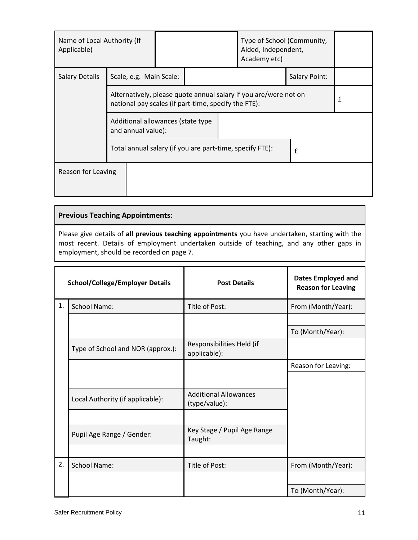| Name of Local Authority (If<br>Applicable)               |  |                         |                                                                                                                          |  |   | Type of School (Community,<br>Aided, Independent,<br>Academy etc) |   |  |
|----------------------------------------------------------|--|-------------------------|--------------------------------------------------------------------------------------------------------------------------|--|---|-------------------------------------------------------------------|---|--|
| <b>Salary Details</b>                                    |  | Scale, e.g. Main Scale: | Salary Point:                                                                                                            |  |   |                                                                   |   |  |
|                                                          |  |                         | Alternatively, please quote annual salary if you are/were not on<br>national pay scales (if part-time, specify the FTE): |  |   |                                                                   | £ |  |
| Additional allowances (state type<br>and annual value):  |  |                         |                                                                                                                          |  |   |                                                                   |   |  |
| Total annual salary (if you are part-time, specify FTE): |  |                         |                                                                                                                          |  | £ |                                                                   |   |  |
| Reason for Leaving                                       |  |                         |                                                                                                                          |  |   |                                                                   |   |  |

## **Previous Teaching Appointments:**

Please give details of **all previous teaching appointments** you have undertaken, starting with the most recent. Details of employment undertaken outside of teaching, and any other gaps in employment, should be recorded on page 7.

|    | <b>School/College/Employer Details</b> | <b>Post Details</b>                           | <b>Dates Employed and</b><br><b>Reason for Leaving</b> |
|----|----------------------------------------|-----------------------------------------------|--------------------------------------------------------|
| 1. | <b>School Name:</b>                    | Title of Post:                                | From (Month/Year):                                     |
|    |                                        |                                               |                                                        |
|    |                                        |                                               | To (Month/Year):                                       |
|    | Type of School and NOR (approx.):      | Responsibilities Held (if<br>applicable):     |                                                        |
|    |                                        |                                               | Reason for Leaving:                                    |
|    |                                        |                                               |                                                        |
|    | Local Authority (if applicable):       | <b>Additional Allowances</b><br>(type/value): |                                                        |
|    |                                        |                                               |                                                        |
|    | Pupil Age Range / Gender:              | Key Stage / Pupil Age Range<br>Taught:        |                                                        |
|    |                                        |                                               |                                                        |
| 2. | <b>School Name:</b>                    | Title of Post:                                | From (Month/Year):                                     |
|    |                                        |                                               |                                                        |
|    |                                        |                                               | To (Month/Year):                                       |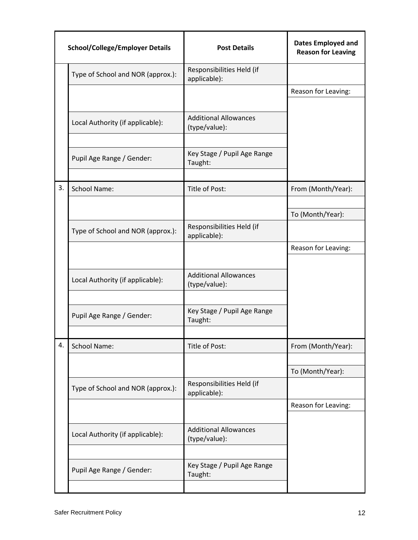| <b>School/College/Employer Details</b> |                                   | <b>Post Details</b>                           | <b>Dates Employed and</b><br><b>Reason for Leaving</b> |
|----------------------------------------|-----------------------------------|-----------------------------------------------|--------------------------------------------------------|
|                                        | Type of School and NOR (approx.): | Responsibilities Held (if<br>applicable):     |                                                        |
|                                        |                                   |                                               | Reason for Leaving:                                    |
|                                        |                                   |                                               |                                                        |
|                                        | Local Authority (if applicable):  | <b>Additional Allowances</b><br>(type/value): |                                                        |
|                                        | Pupil Age Range / Gender:         | Key Stage / Pupil Age Range<br>Taught:        |                                                        |
| 3.                                     | <b>School Name:</b>               | Title of Post:                                | From (Month/Year):                                     |
|                                        |                                   |                                               |                                                        |
|                                        |                                   |                                               | To (Month/Year):                                       |
|                                        | Type of School and NOR (approx.): | Responsibilities Held (if<br>applicable):     |                                                        |
|                                        |                                   |                                               | Reason for Leaving:                                    |
|                                        |                                   |                                               |                                                        |
|                                        | Local Authority (if applicable):  | <b>Additional Allowances</b><br>(type/value): |                                                        |
|                                        |                                   |                                               |                                                        |
|                                        | Pupil Age Range / Gender:         | Key Stage / Pupil Age Range<br>Taught:        |                                                        |
|                                        |                                   |                                               |                                                        |
| 4.                                     | <b>School Name:</b>               | Title of Post:                                | From (Month/Year):                                     |
|                                        |                                   |                                               | To (Month/Year):                                       |
|                                        | Type of School and NOR (approx.): | Responsibilities Held (if<br>applicable):     |                                                        |
|                                        |                                   |                                               | Reason for Leaving:                                    |
|                                        |                                   |                                               |                                                        |
|                                        | Local Authority (if applicable):  | <b>Additional Allowances</b><br>(type/value): |                                                        |
|                                        |                                   |                                               |                                                        |
|                                        | Pupil Age Range / Gender:         | Key Stage / Pupil Age Range<br>Taught:        |                                                        |
|                                        |                                   |                                               |                                                        |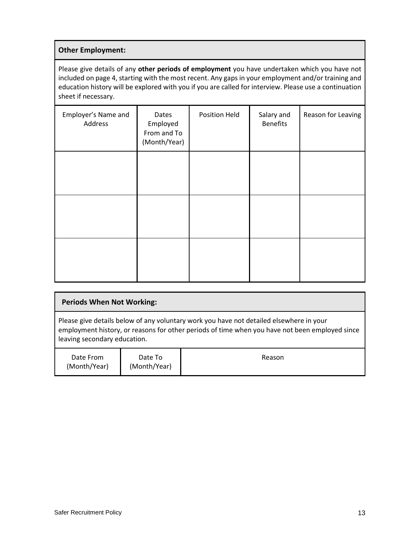## **Other Employment:**

Please give details of any **other periods of employment** you have undertaken which you have not included on page 4, starting with the most recent. Any gaps in your employment and/or training and education history will be explored with you if you are called for interview. Please use a continuation sheet if necessary.

| Employer's Name and<br>Address | Dates<br>Employed<br>From and To<br>(Month/Year) | <b>Position Held</b> | Salary and<br><b>Benefits</b> | Reason for Leaving |
|--------------------------------|--------------------------------------------------|----------------------|-------------------------------|--------------------|
|                                |                                                  |                      |                               |                    |
|                                |                                                  |                      |                               |                    |
|                                |                                                  |                      |                               |                    |

## **Periods When Not Working:** Please give details below of any voluntary work you have not detailed elsewhere in your employment history, or reasons for other periods of time when you have not been employed since leaving secondary education. Date From (Month/Year) Date To (Month/Year) Reason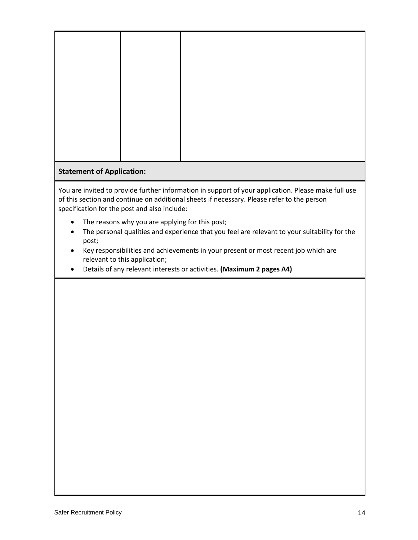## **Statement of Application:**

You are invited to provide further information in support of your application. Please make full use of this section and continue on additional sheets if necessary. Please refer to the person specification for the post and also include:

- The reasons why you are applying for this post;
- The personal qualities and experience that you feel are relevant to your suitability for the post;
- Key responsibilities and achievements in your present or most recent job which are relevant to this application;
- Details of any relevant interests or activities. **(Maximum 2 pages A4)**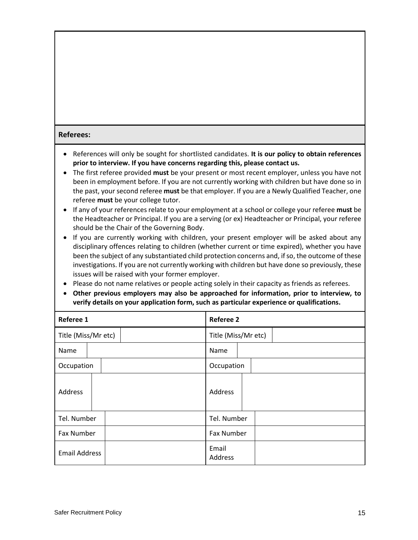## **Referees:**

- References will only be sought for shortlisted candidates. **It is our policy to obtain references prior to interview. If you have concerns regarding this, please contact us.**
- The first referee provided **must** be your present or most recent employer, unless you have not been in employment before. If you are not currently working with children but have done so in the past, your second referee **must** be that employer. If you are a Newly Qualified Teacher, one referee **must** be your college tutor.
- If any of your references relate to your employment at a school or college your referee **must** be the Headteacher or Principal. If you are a serving (or ex) Headteacher or Principal, your referee should be the Chair of the Governing Body.
- If you are currently working with children, your present employer will be asked about any disciplinary offences relating to children (whether current or time expired), whether you have been the subject of any substantiated child protection concerns and, if so, the outcome of these investigations. If you are not currently working with children but have done so previously, these issues will be raised with your former employer.
- Please do not name relatives or people acting solely in their capacity as friends as referees.
- **Other previous employers may also be approached for information, prior to interview, to verify details on your application form, such as particular experience or qualifications.**

| Referee 1            | <b>Referee 2</b>    |
|----------------------|---------------------|
| Title (Miss/Mr etc)  | Title (Miss/Mr etc) |
| Name                 | Name                |
| Occupation           | Occupation          |
| Address              | Address             |
| Tel. Number          | Tel. Number         |
| Fax Number           | <b>Fax Number</b>   |
| <b>Email Address</b> | Email<br>Address    |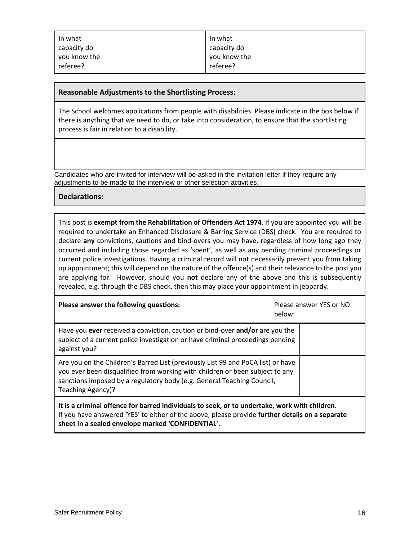| In what<br>capacity do   | In what<br>capacity do   |  |
|--------------------------|--------------------------|--|
| you know the<br>referee? | you know the<br>referee? |  |

## **Reasonable Adjustments to the Shortlisting Process:**

The School welcomes applications from people with disabilities. Please indicate in the box below if there is anything that we need to do, or take into consideration, to ensure that the shortlisting process is fair in relation to a disability.

Candidates who are invited for interview will be asked in the invitation letter if they require any adjustments to be made to the interview or other selection activities.

**Declarations:**

This post is **exempt from the Rehabilitation of Offenders Act 1974**. If you are appointed you will be required to undertake an Enhanced Disclosure & Barring Service (DBS) check. You are required to declare **any** convictions, cautions and bind-overs you may have, regardless of how long ago they occurred and including those regarded as 'spent', as well as any pending criminal proceedings or current police investigations. Having a criminal record will not necessarily prevent you from taking up appointment; this will depend on the nature of the offence(s) and their relevance to the post you are applying for. However, should you **not** declare any of the above and this is subsequently revealed, e.g. through the DBS check, then this may place your appointment in jeopardy.

| Please answer the following questions:                                                                                                                                                                                                                          | Please answer YES or NO<br>below: |
|-----------------------------------------------------------------------------------------------------------------------------------------------------------------------------------------------------------------------------------------------------------------|-----------------------------------|
| Have you ever received a conviction, caution or bind-over and/or are you the<br>subject of a current police investigation or have criminal proceedings pending<br>against you?                                                                                  |                                   |
| Are you on the Children's Barred List (previously List 99 and PoCA list) or have<br>you ever been disqualified from working with children or been subject to any<br>sanctions imposed by a regulatory body (e.g. General Teaching Council,<br>Teaching Agency)? |                                   |
| It is a criminal offence for barred individuals to seek, or to undertake, work with children.<br>If you have answered 'YES' to either of the above, please provide further details on a separate                                                                |                                   |

**sheet in a sealed envelope marked 'CONFIDENTIAL'.**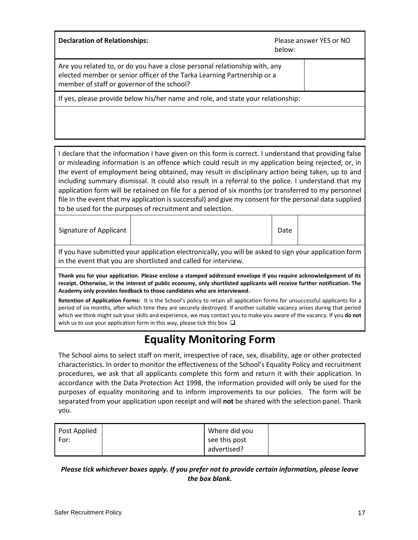| <b>Declaration of Relationships:</b>                                                                                                                                                                | Please answer YES or NO<br>below: |
|-----------------------------------------------------------------------------------------------------------------------------------------------------------------------------------------------------|-----------------------------------|
| Are you related to, or do you have a close personal relationship with, any<br>elected member or senior officer of the Tarka Learning Partnership or a<br>member of staff or governor of the school? |                                   |
| If yes, please provide below his/her name and role, and state your relationship:                                                                                                                    |                                   |
|                                                                                                                                                                                                     |                                   |

I declare that the information I have given on this form is correct. I understand that providing false or misleading information is an offence which could result in my application being rejected, or, in the event of employment being obtained, may result in disciplinary action being taken, up to and including summary dismissal. It could also result in a referral to the police. I understand that my application form will be retained on file for a period of six months (or transferred to my personnel file in the event that my application is successful) and give my consent for the personal data supplied to be used for the purposes of recruitment and selection.

Signature of Applicant | New York | 2012 | Date | Date | Date | Date | Date | Date | Date | Date | Date | Date | Date | Date | Date | Date | Date | Date | Date | Date | Date | Date | Date | Date | Date | Date | Date | Date

If you have submitted your application electronically, you will be asked to sign your application form in the event that you are shortlisted and called for interview.

**Thank you for your application. Please enclose a stamped addressed envelope if you require acknowledgement of its receipt. Otherwise, in the interest of public economy, only shortlisted applicants will receive further notification. The Academy only provides feedback to those candidates who are interviewed.**

**Retention of Application Forms:** It is the School's policy to retain all application forms for unsuccessful applicants for a period of six months, after which time they are securely destroyed. If another suitable vacancy arises during that period which we think might suit your skills and experience, we may contact you to make you aware of the vacancy. If you **do not** wish us to use your application form in this way, please tick this box  $\Box$ 

# **Equality Monitoring Form**

The School aims to select staff on merit, irrespective of race, sex, disability, age or other protected characteristics. In order to monitor the effectiveness of the School's Equality Policy and recruitment procedures, we ask that all applicants complete this form and return it with their application. In accordance with the Data Protection Act 1998, the information provided will only be used for the purposes of equality monitoring and to inform improvements to our policies. The form will be separated from your application upon receipt and will **not** be shared with the selection panel. Thank you.

| Post Applied | Where did you |  |
|--------------|---------------|--|
| For:         | see this post |  |
|              | advertised?   |  |

## *Please tick whichever boxes apply. If you prefer not to provide certain information, please leave the box blank.*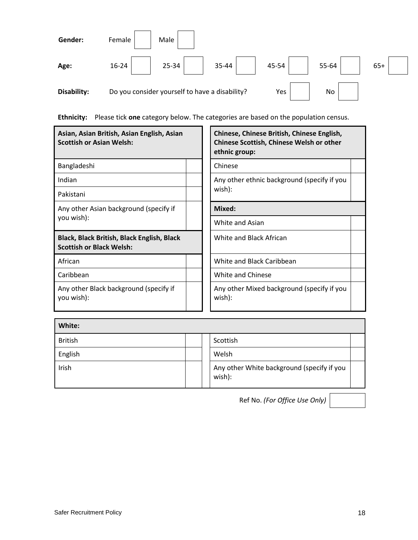

**Ethnicity:** Please tick **one** category below. The categories are based on the population census.

| Asian, Asian British, Asian English, Asian<br><b>Scottish or Asian Welsh:</b> | Chinese, Chinese British, Chinese English,<br>Chinese Scottish, Chinese Welsh or other<br>ethnic group: |  |
|-------------------------------------------------------------------------------|---------------------------------------------------------------------------------------------------------|--|
| Bangladeshi                                                                   | Chinese                                                                                                 |  |
| Indian                                                                        | Any other ethnic background (specify if you                                                             |  |
| Pakistani                                                                     | wish):                                                                                                  |  |
| Any other Asian background (specify if                                        | Mixed:                                                                                                  |  |
| you wish):                                                                    | White and Asian                                                                                         |  |
| Black, Black British, Black English, Black<br><b>Scottish or Black Welsh:</b> | White and Black African                                                                                 |  |
| African                                                                       | White and Black Caribbean                                                                               |  |
| Caribbean                                                                     | White and Chinese                                                                                       |  |
| Any other Black background (specify if<br>you wish):                          | Any other Mixed background (specify if you<br>wish):                                                    |  |

| White:         |                                                      |  |
|----------------|------------------------------------------------------|--|
| <b>British</b> | Scottish                                             |  |
| English        | Welsh                                                |  |
| Irish          | Any other White background (specify if you<br>wish): |  |

Ref No. *(For Office Use Only)*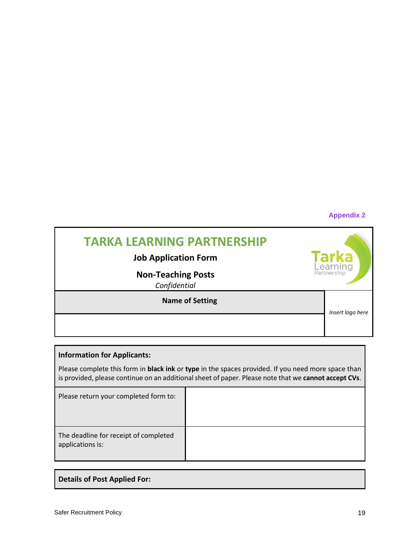## **Appendix 2**

| <b>TARKA LEARNING PARTNERSHIP</b><br><b>Job Application Form</b><br><b>Non-Teaching Posts</b><br>Confidential | <b>Tarka</b><br>Learning<br>Partnership |
|---------------------------------------------------------------------------------------------------------------|-----------------------------------------|
| <b>Name of Setting</b>                                                                                        | Insert logo here                        |

## **Information for Applicants:**

Please complete this form in **black ink** or **type** in the spaces provided. If you need more space than is provided, please continue on an additional sheet of paper. Please note that we **cannot accept CVs**.

| Please return your completed form to:                     |  |
|-----------------------------------------------------------|--|
| The deadline for receipt of completed<br>applications is: |  |

## **Details of Post Applied For:**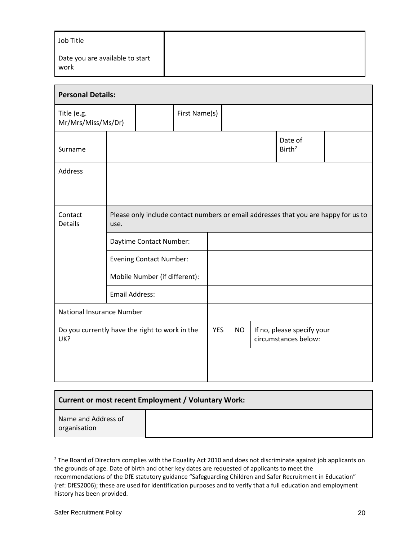| Job Title                               |  |
|-----------------------------------------|--|
| Date you are available to start<br>work |  |

| <b>Personal Details:</b>                              |                                                                                             |                                |               |                               |                                                    |  |  |  |
|-------------------------------------------------------|---------------------------------------------------------------------------------------------|--------------------------------|---------------|-------------------------------|----------------------------------------------------|--|--|--|
| Title (e.g.<br>Mr/Mrs/Miss/Ms/Dr)                     |                                                                                             |                                | First Name(s) |                               |                                                    |  |  |  |
| Surname                                               |                                                                                             |                                |               | Date of<br>Birth <sup>2</sup> |                                                    |  |  |  |
| Address                                               |                                                                                             |                                |               |                               |                                                    |  |  |  |
| Contact<br><b>Details</b>                             | Please only include contact numbers or email addresses that you are happy for us to<br>use. |                                |               |                               |                                                    |  |  |  |
|                                                       |                                                                                             | Daytime Contact Number:        |               |                               |                                                    |  |  |  |
|                                                       |                                                                                             | <b>Evening Contact Number:</b> |               |                               |                                                    |  |  |  |
|                                                       |                                                                                             | Mobile Number (if different):  |               |                               |                                                    |  |  |  |
|                                                       | <b>Email Address:</b>                                                                       |                                |               |                               |                                                    |  |  |  |
| National Insurance Number                             |                                                                                             |                                |               |                               |                                                    |  |  |  |
| Do you currently have the right to work in the<br>UK? |                                                                                             | <b>YES</b>                     |               | <b>NO</b>                     | If no, please specify your<br>circumstances below: |  |  |  |
|                                                       |                                                                                             |                                |               |                               |                                                    |  |  |  |

| Current or most recent Employment / Voluntary Work: |  |  |  |
|-----------------------------------------------------|--|--|--|
| Name and Address of<br>organisation                 |  |  |  |

<sup>&</sup>lt;sup>2</sup> The Board of Directors complies with the Equality Act 2010 and does not discriminate against job applicants on the grounds of age. Date of birth and other key dates are requested of applicants to meet the recommendations of the DfE statutory guidance "Safeguarding Children and Safer Recruitment in Education" (ref: DfES2006); these are used for identification purposes and to verify that a full education and employment history has been provided.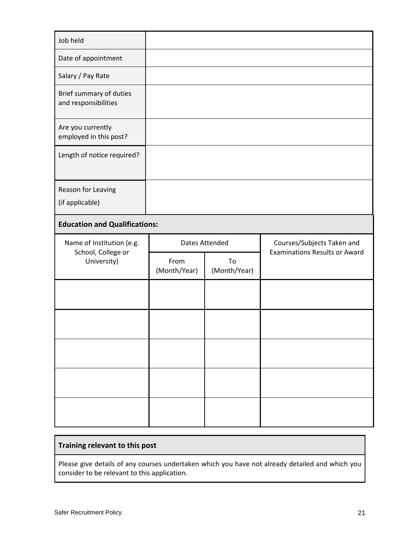| Job held                                        |                       |                    |                                      |
|-------------------------------------------------|-----------------------|--------------------|--------------------------------------|
| Date of appointment                             |                       |                    |                                      |
| Salary / Pay Rate                               |                       |                    |                                      |
| Brief summary of duties<br>and responsibilities |                       |                    |                                      |
| Are you currently<br>employed in this post?     |                       |                    |                                      |
| Length of notice required?                      |                       |                    |                                      |
| Reason for Leaving<br>(if applicable)           |                       |                    |                                      |
| <b>Education and Qualifications:</b>            |                       |                    |                                      |
|                                                 |                       |                    |                                      |
| Name of Institution (e.g.                       | <b>Dates Attended</b> |                    | Courses/Subjects Taken and           |
| School, College or<br>University)               | From<br>(Month/Year)  | To<br>(Month/Year) | <b>Examinations Results or Award</b> |
|                                                 |                       |                    |                                      |
|                                                 |                       |                    |                                      |
|                                                 |                       |                    |                                      |
|                                                 |                       |                    |                                      |

## **Training relevant to this post**

Please give details of any courses undertaken which you have not already detailed and which you consider to be relevant to this application.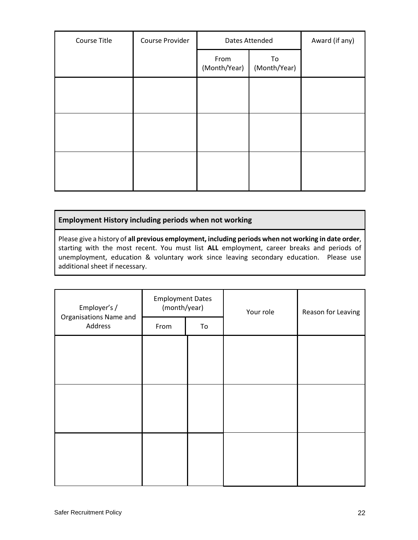| Course Title | Course Provider | Dates Attended       |                    | Award (if any) |
|--------------|-----------------|----------------------|--------------------|----------------|
|              |                 | From<br>(Month/Year) | To<br>(Month/Year) |                |
|              |                 |                      |                    |                |
|              |                 |                      |                    |                |
|              |                 |                      |                    |                |
|              |                 |                      |                    |                |

## **Employment History including periods when not working**

Please give a history of **all previous employment, including periods when not working in date order**, starting with the most recent. You must list **ALL** employment, career breaks and periods of unemployment, education & voluntary work since leaving secondary education. Please use additional sheet if necessary.

| Employer's /                      | <b>Employment Dates</b><br>(month/year) |    | Your role | Reason for Leaving |
|-----------------------------------|-----------------------------------------|----|-----------|--------------------|
| Organisations Name and<br>Address | From                                    | To |           |                    |
|                                   |                                         |    |           |                    |
|                                   |                                         |    |           |                    |
|                                   |                                         |    |           |                    |
|                                   |                                         |    |           |                    |
|                                   |                                         |    |           |                    |
|                                   |                                         |    |           |                    |
|                                   |                                         |    |           |                    |
|                                   |                                         |    |           |                    |
|                                   |                                         |    |           |                    |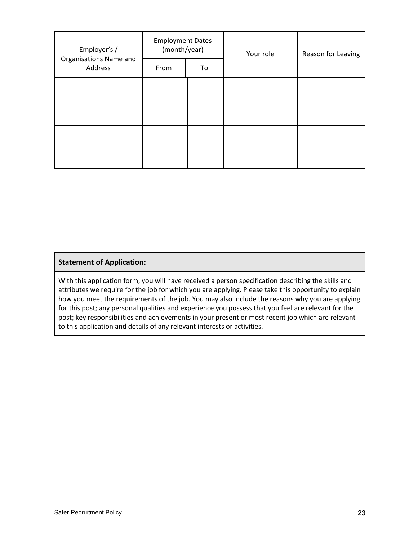| Employer's /                      | <b>Employment Dates</b><br>(month/year) |    | Your role | Reason for Leaving |  |
|-----------------------------------|-----------------------------------------|----|-----------|--------------------|--|
| Organisations Name and<br>Address | From                                    | To |           |                    |  |
|                                   |                                         |    |           |                    |  |
|                                   |                                         |    |           |                    |  |
|                                   |                                         |    |           |                    |  |
|                                   |                                         |    |           |                    |  |
|                                   |                                         |    |           |                    |  |

## **Statement of Application:**

With this application form, you will have received a person specification describing the skills and attributes we require for the job for which you are applying. Please take this opportunity to explain how you meet the requirements of the job. You may also include the reasons why you are applying for this post; any personal qualities and experience you possess that you feel are relevant for the post; key responsibilities and achievements in your present or most recent job which are relevant to this application and details of any relevant interests or activities.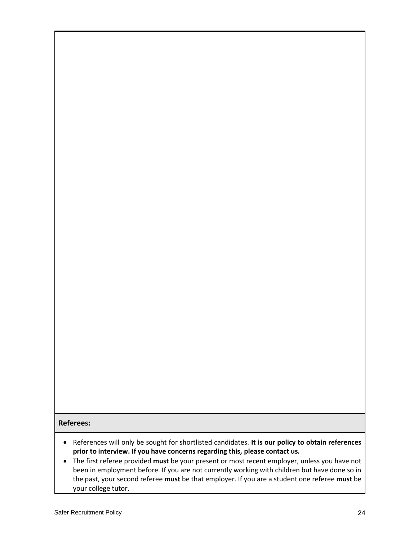## **Referees:**

- References will only be sought for shortlisted candidates. **It is our policy to obtain references prior to interview. If you have concerns regarding this, please contact us.**
- The first referee provided **must** be your present or most recent employer, unless you have not been in employment before. If you are not currently working with children but have done so in the past, your second referee **must** be that employer. If you are a student one referee **must** be your college tutor.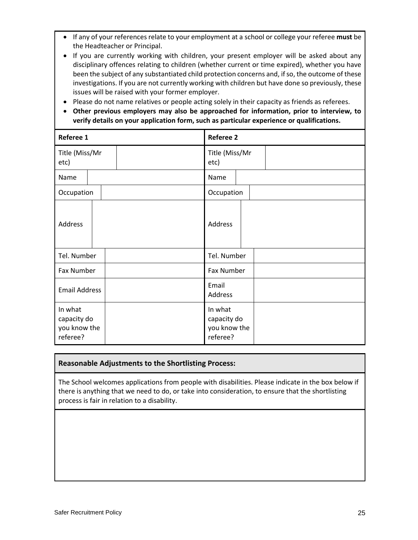- If any of your references relate to your employment at a school or college your referee **must** be the Headteacher or Principal.
- If you are currently working with children, your present employer will be asked about any disciplinary offences relating to children (whether current or time expired), whether you have been the subject of any substantiated child protection concerns and, if so, the outcome of these investigations. If you are not currently working with children but have done so previously, these issues will be raised with your former employer.
- Please do not name relatives or people acting solely in their capacity as friends as referees.
- **Other previous employers may also be approached for information, prior to interview, to verify details on your application form, such as particular experience or qualifications.**

| Referee 1                                          | <b>Referee 2</b>                                   |
|----------------------------------------------------|----------------------------------------------------|
| Title (Miss/Mr<br>etc)                             | Title (Miss/Mr<br>etc)                             |
| Name                                               | Name                                               |
| Occupation                                         | Occupation                                         |
| Address                                            | Address                                            |
| Tel. Number                                        | Tel. Number                                        |
| Fax Number                                         | <b>Fax Number</b>                                  |
| <b>Email Address</b>                               | Email<br>Address                                   |
| In what<br>capacity do<br>you know the<br>referee? | In what<br>capacity do<br>you know the<br>referee? |

## **Reasonable Adjustments to the Shortlisting Process:**

The School welcomes applications from people with disabilities. Please indicate in the box below if there is anything that we need to do, or take into consideration, to ensure that the shortlisting process is fair in relation to a disability.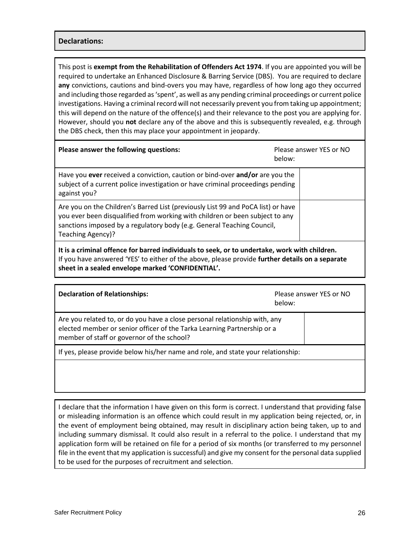## **Declarations:**

This post is **exempt from the Rehabilitation of Offenders Act 1974**. If you are appointed you will be required to undertake an Enhanced Disclosure & Barring Service (DBS). You are required to declare **any** convictions, cautions and bind-overs you may have, regardless of how long ago they occurred and including those regarded as 'spent', as well as any pending criminal proceedings or current police investigations. Having a criminal record will not necessarily prevent you from taking up appointment; this will depend on the nature of the offence(s) and their relevance to the post you are applying for. However, should you **not** declare any of the above and this is subsequently revealed, e.g. through the DBS check, then this may place your appointment in jeopardy.

| Please answer the following questions:                                                                                                                                                                                                                          | Please answer YES or NO<br>below: |  |  |
|-----------------------------------------------------------------------------------------------------------------------------------------------------------------------------------------------------------------------------------------------------------------|-----------------------------------|--|--|
| Have you ever received a conviction, caution or bind-over and/or are you the<br>subject of a current police investigation or have criminal proceedings pending<br>against you?                                                                                  |                                   |  |  |
| Are you on the Children's Barred List (previously List 99 and PoCA list) or have<br>you ever been disqualified from working with children or been subject to any<br>sanctions imposed by a regulatory body (e.g. General Teaching Council,<br>Teaching Agency)? |                                   |  |  |
| It is a criminal offence for barred individuals to seek, or to undertake, work with children.<br>If you have answered 'YES' to either of the above, please provide further details on a separate                                                                |                                   |  |  |

**sheet in a sealed envelope marked 'CONFIDENTIAL'.**

| <b>Declaration of Relationships:</b>                                                                                                                                                                | below: | Please answer YES or NO |
|-----------------------------------------------------------------------------------------------------------------------------------------------------------------------------------------------------|--------|-------------------------|
| Are you related to, or do you have a close personal relationship with, any<br>elected member or senior officer of the Tarka Learning Partnership or a<br>member of staff or governor of the school? |        |                         |
| If yes, please provide below his/her name and role, and state your relationship:                                                                                                                    |        |                         |
|                                                                                                                                                                                                     |        |                         |

I declare that the information I have given on this form is correct. I understand that providing false or misleading information is an offence which could result in my application being rejected, or, in the event of employment being obtained, may result in disciplinary action being taken, up to and including summary dismissal. It could also result in a referral to the police. I understand that my application form will be retained on file for a period of six months (or transferred to my personnel file in the event that my application is successful) and give my consent for the personal data supplied to be used for the purposes of recruitment and selection.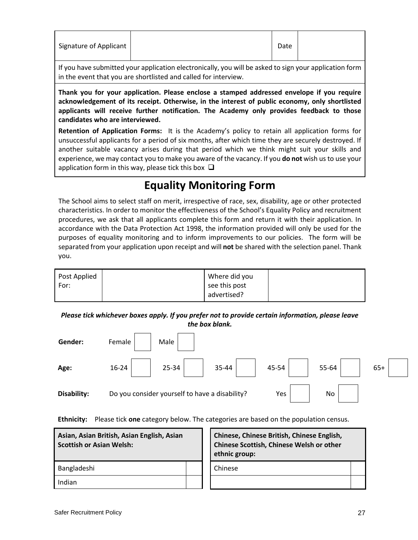| Signature of Applicant |  | Date |  |
|------------------------|--|------|--|
|------------------------|--|------|--|

If you have submitted your application electronically, you will be asked to sign your application form in the event that you are shortlisted and called for interview.

**Thank you for your application. Please enclose a stamped addressed envelope if you require acknowledgement of its receipt. Otherwise, in the interest of public economy, only shortlisted applicants will receive further notification. The Academy only provides feedback to those candidates who are interviewed.**

**Retention of Application Forms:** It is the Academy's policy to retain all application forms for unsuccessful applicants for a period of six months, after which time they are securely destroyed. If another suitable vacancy arises during that period which we think might suit your skills and experience, we may contact you to make you aware of the vacancy. If you **do not** wish us to use your application form in this way, please tick this box  $\Box$ 

## **Equality Monitoring Form**

The School aims to select staff on merit, irrespective of race, sex, disability, age or other protected characteristics. In order to monitor the effectiveness of the School's Equality Policy and recruitment procedures, we ask that all applicants complete this form and return it with their application. In accordance with the Data Protection Act 1998, the information provided will only be used for the purposes of equality monitoring and to inform improvements to our policies. The form will be separated from your application upon receipt and will **not** be shared with the selection panel. Thank you.

| Post Applied | Where did you |  |
|--------------|---------------|--|
| For:         | see this post |  |
|              | advertised?   |  |

*Please tick whichever boxes apply. If you prefer not to provide certain information, please leave the box blank.*

| Gender:     | Male<br>Female                                              |
|-------------|-------------------------------------------------------------|
| Age:        | 25-34<br>45-54<br>$16 - 24$<br>55-64<br>35-44<br>$65+$      |
| Disability: | Do you consider yourself to have a disability?<br>No<br>Yes |

**Ethnicity:** Please tick **one** category below. The categories are based on the population census.

| Asian, Asian British, Asian English, Asian<br><b>Scottish or Asian Welsh:</b> |  | Chinese, Chinese British, Chinese English,<br><b>Chinese Scottish, Chinese Welsh or other</b><br>ethnic group: |  |  |  |  |
|-------------------------------------------------------------------------------|--|----------------------------------------------------------------------------------------------------------------|--|--|--|--|
| Bangladeshi                                                                   |  | Chinese                                                                                                        |  |  |  |  |
| Indian                                                                        |  |                                                                                                                |  |  |  |  |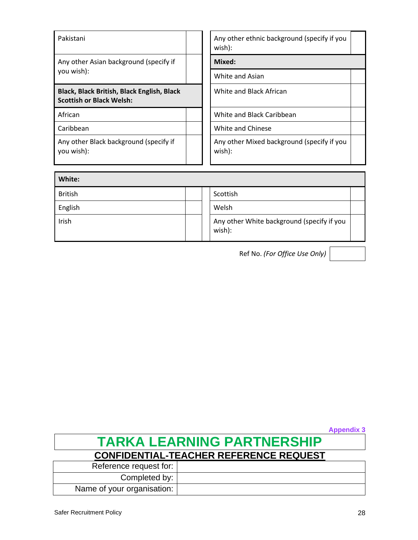| Pakistani                                                                     | Any other ethnic background (specify if you<br>wish): |  |  |  |  |
|-------------------------------------------------------------------------------|-------------------------------------------------------|--|--|--|--|
| Any other Asian background (specify if                                        | Mixed:                                                |  |  |  |  |
| you wish):                                                                    | White and Asian                                       |  |  |  |  |
| Black, Black British, Black English, Black<br><b>Scottish or Black Welsh:</b> | White and Black African                               |  |  |  |  |
| African                                                                       | White and Black Caribbean                             |  |  |  |  |
| Caribbean                                                                     | White and Chinese                                     |  |  |  |  |
| Any other Black background (specify if<br>you wish):                          | Any other Mixed background (specify if you<br>wish):  |  |  |  |  |

| White:         |  |                                                      |  |
|----------------|--|------------------------------------------------------|--|
| <b>British</b> |  | Scottish                                             |  |
| English        |  | Welsh                                                |  |
| Irish          |  | Any other White background (specify if you<br>wish): |  |

Ref No. *(For Office Use Only)*

**TARKA LEARNING PARTNERSHIP CONFIDENTIAL-TEACHER REFERENCE REQUEST** Reference request for: Completed by: Name of your organisation:

**Appendix 3**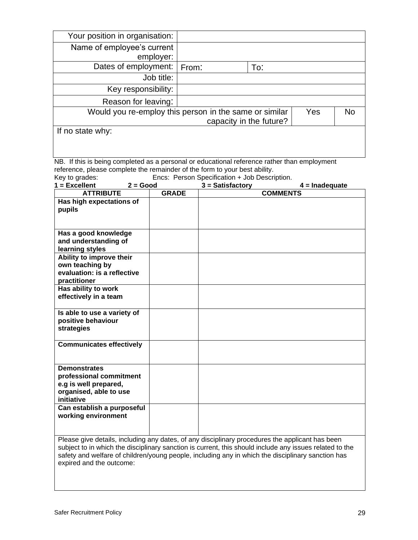| Your position in organisation:                                                                          |                                                                                                   |  |                                               |                         |                  |           |
|---------------------------------------------------------------------------------------------------------|---------------------------------------------------------------------------------------------------|--|-----------------------------------------------|-------------------------|------------------|-----------|
| Name of employee's current                                                                              |                                                                                                   |  |                                               |                         |                  |           |
| employer:                                                                                               |                                                                                                   |  |                                               |                         |                  |           |
| Dates of employment:                                                                                    | From:                                                                                             |  | To:                                           |                         |                  |           |
|                                                                                                         | Job title:                                                                                        |  |                                               |                         |                  |           |
| Key responsibility:                                                                                     |                                                                                                   |  |                                               |                         |                  |           |
| Reason for leaving:                                                                                     |                                                                                                   |  |                                               |                         |                  |           |
| Would you re-employ this person in the same or similar                                                  |                                                                                                   |  |                                               |                         | Yes              | <b>No</b> |
|                                                                                                         |                                                                                                   |  |                                               | capacity in the future? |                  |           |
| If no state why:                                                                                        |                                                                                                   |  |                                               |                         |                  |           |
|                                                                                                         |                                                                                                   |  |                                               |                         |                  |           |
| NB. If this is being completed as a personal or educational reference rather than employment            |                                                                                                   |  |                                               |                         |                  |           |
| reference, please complete the remainder of the form to your best ability.                              |                                                                                                   |  |                                               |                         |                  |           |
| Key to grades:                                                                                          |                                                                                                   |  | Encs: Person Specification + Job Description. |                         |                  |           |
| $1 =$ Excellent<br>$2 = Good$<br><b>ATTRIBUTE</b>                                                       | <b>GRADE</b>                                                                                      |  | $3 = Satisfactory$                            | <b>COMMENTS</b>         | $4 =$ Inadequate |           |
| Has high expectations of                                                                                |                                                                                                   |  |                                               |                         |                  |           |
| pupils                                                                                                  |                                                                                                   |  |                                               |                         |                  |           |
|                                                                                                         |                                                                                                   |  |                                               |                         |                  |           |
|                                                                                                         |                                                                                                   |  |                                               |                         |                  |           |
| Has a good knowledge                                                                                    |                                                                                                   |  |                                               |                         |                  |           |
| and understanding of<br>learning styles                                                                 |                                                                                                   |  |                                               |                         |                  |           |
| Ability to improve their                                                                                |                                                                                                   |  |                                               |                         |                  |           |
| own teaching by                                                                                         |                                                                                                   |  |                                               |                         |                  |           |
| evaluation: is a reflective                                                                             |                                                                                                   |  |                                               |                         |                  |           |
| practitioner                                                                                            |                                                                                                   |  |                                               |                         |                  |           |
| Has ability to work                                                                                     |                                                                                                   |  |                                               |                         |                  |           |
| effectively in a team                                                                                   |                                                                                                   |  |                                               |                         |                  |           |
| Is able to use a variety of                                                                             |                                                                                                   |  |                                               |                         |                  |           |
| positive behaviour                                                                                      |                                                                                                   |  |                                               |                         |                  |           |
| strategies                                                                                              |                                                                                                   |  |                                               |                         |                  |           |
| <b>Communicates effectively</b>                                                                         |                                                                                                   |  |                                               |                         |                  |           |
|                                                                                                         |                                                                                                   |  |                                               |                         |                  |           |
| <b>Demonstrates</b>                                                                                     |                                                                                                   |  |                                               |                         |                  |           |
| professional commitment                                                                                 |                                                                                                   |  |                                               |                         |                  |           |
| e.g is well prepared,                                                                                   |                                                                                                   |  |                                               |                         |                  |           |
| organised, able to use                                                                                  |                                                                                                   |  |                                               |                         |                  |           |
| initiative                                                                                              |                                                                                                   |  |                                               |                         |                  |           |
| Can establish a purposeful                                                                              |                                                                                                   |  |                                               |                         |                  |           |
| working environment                                                                                     |                                                                                                   |  |                                               |                         |                  |           |
|                                                                                                         |                                                                                                   |  |                                               |                         |                  |           |
| Please give details, including any dates, of any disciplinary procedures the applicant has been         |                                                                                                   |  |                                               |                         |                  |           |
| subject to in which the disciplinary sanction is current, this should include any issues related to the |                                                                                                   |  |                                               |                         |                  |           |
|                                                                                                         | safety and welfare of children/young people, including any in which the disciplinary sanction has |  |                                               |                         |                  |           |
| expired and the outcome:                                                                                |                                                                                                   |  |                                               |                         |                  |           |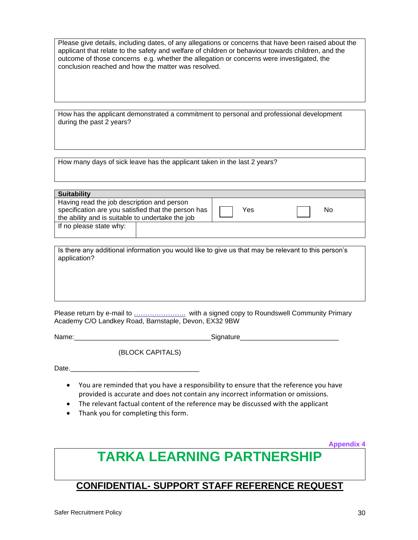Please give details, including dates, of any allegations or concerns that have been raised about the applicant that relate to the safety and welfare of children or behaviour towards children, and the outcome of those concerns e.g. whether the allegation or concerns were investigated, the conclusion reached and how the matter was resolved.

How has the applicant demonstrated a commitment to personal and professional development during the past 2 years?

How many days of sick leave has the applicant taken in the last 2 years?

| <b>Suitability</b>                                  |     |    |  |
|-----------------------------------------------------|-----|----|--|
| Having read the job description and person          |     |    |  |
| specification are you satisfied that the person has | Yes | No |  |
| the ability and is suitable to undertake the job    |     |    |  |
| If no please state why:                             |     |    |  |
|                                                     |     |    |  |

Is there any additional information you would like to give us that may be relevant to this person's application?

Please return by e-mail to […………………..](mailto:mo.cann@newportprimary.devon.sch.uk) with a signed copy to Roundswell Community Primary Academy C/O Landkey Road, Barnstaple, Devon, EX32 9BW

Name: The contract of the contract of the Signature Signature

(BLOCK CAPITALS)

Date.

- You are reminded that you have a responsibility to ensure that the reference you have provided is accurate and does not contain any incorrect information or omissions.
- The relevant factual content of the reference may be discussed with the applicant
- Thank you for completing this form.

**Appendix 4**

# **TARKA LEARNING PARTNERSHIP**

## **CONFIDENTIAL- SUPPORT STAFF REFERENCE REQUEST**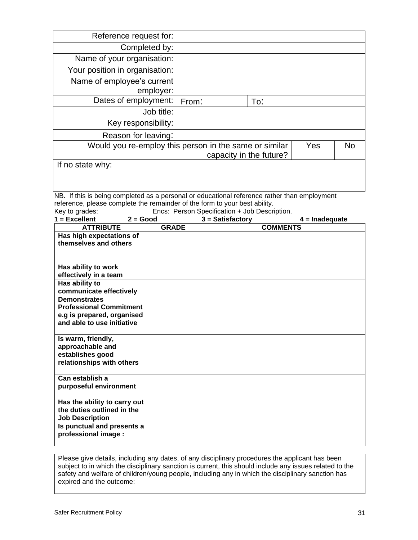| Reference request for:                                 |       |                         |     |    |
|--------------------------------------------------------|-------|-------------------------|-----|----|
| Completed by:                                          |       |                         |     |    |
| Name of your organisation:                             |       |                         |     |    |
| Your position in organisation:                         |       |                         |     |    |
| Name of employee's current<br>employer:                |       |                         |     |    |
| Dates of employment:                                   | From: | To:                     |     |    |
| Job title:                                             |       |                         |     |    |
| Key responsibility:                                    |       |                         |     |    |
| Reason for leaving:                                    |       |                         |     |    |
| Would you re-employ this person in the same or similar |       |                         | Yes | No |
|                                                        |       | capacity in the future? |     |    |
| If no state why:                                       |       |                         |     |    |

NB. If this is being completed as a personal or educational reference rather than employment reference, please complete the remainder of the form to your best ability.<br>Key to grades: Encs: Person Specification + Job Descri

Encs: Person Specification + Job Description.

| $1 =$ Excellent                                                                                                   | $2 = Good$ |              | $3 =$ Satisfactory |                 | $4 =$ Inadequate |
|-------------------------------------------------------------------------------------------------------------------|------------|--------------|--------------------|-----------------|------------------|
| <b>ATTRIBUTE</b>                                                                                                  |            | <b>GRADE</b> |                    | <b>COMMENTS</b> |                  |
| Has high expectations of<br>themselves and others                                                                 |            |              |                    |                 |                  |
| Has ability to work<br>effectively in a team                                                                      |            |              |                    |                 |                  |
| Has ability to<br>communicate effectively                                                                         |            |              |                    |                 |                  |
| <b>Demonstrates</b><br><b>Professional Commitment</b><br>e.g is prepared, organised<br>and able to use initiative |            |              |                    |                 |                  |
| Is warm, friendly,<br>approachable and<br>establishes good<br>relationships with others                           |            |              |                    |                 |                  |
| Can establish a<br>purposeful environment                                                                         |            |              |                    |                 |                  |
| Has the ability to carry out<br>the duties outlined in the<br><b>Job Description</b>                              |            |              |                    |                 |                  |
| Is punctual and presents a<br>professional image :                                                                |            |              |                    |                 |                  |

Please give details, including any dates, of any disciplinary procedures the applicant has been subject to in which the disciplinary sanction is current, this should include any issues related to the safety and welfare of children/young people, including any in which the disciplinary sanction has expired and the outcome: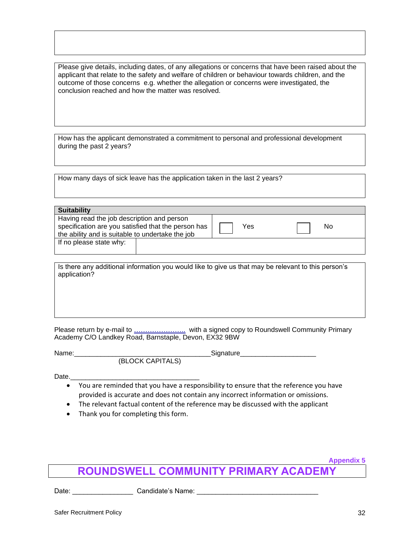Please give details, including dates, of any allegations or concerns that have been raised about the applicant that relate to the safety and welfare of children or behaviour towards children, and the outcome of those concerns e.g. whether the allegation or concerns were investigated, the conclusion reached and how the matter was resolved.

How has the applicant demonstrated a commitment to personal and professional development during the past 2 years?

How many days of sick leave has the application taken in the last 2 years?

| <b>Suitability</b>                                                                                                                                    |  |     |    |
|-------------------------------------------------------------------------------------------------------------------------------------------------------|--|-----|----|
| Having read the job description and person<br>specification are you satisfied that the person has<br>the ability and is suitable to undertake the job |  | Yes | No |
| If no please state why:                                                                                                                               |  |     |    |

Is there any additional information you would like to give us that may be relevant to this person's application?

Please return by e-mail to […………………..](mailto:mo.cann@newportprimary.devon.sch.uk) with a signed copy to Roundswell Community Primary Academy C/O Landkey Road, Barnstaple, Devon, EX32 9BW

Name: which is a set of the set of the Signature Signature (BLOCK CAPITALS)

Date.

- You are reminded that you have a responsibility to ensure that the reference you have provided is accurate and does not contain any incorrect information or omissions.
- The relevant factual content of the reference may be discussed with the applicant
- Thank you for completing this form.

## **ROUNDSWELL COMMUNITY PRIMARY ACADEMY**

Date: \_\_\_\_\_\_\_\_\_\_\_\_\_\_\_\_\_\_\_\_\_\_\_ Candidate's Name: \_\_\_\_\_\_\_\_\_\_\_\_\_\_\_\_\_\_\_\_\_\_\_\_\_\_\_\_\_\_\_\_

**Appendix 5**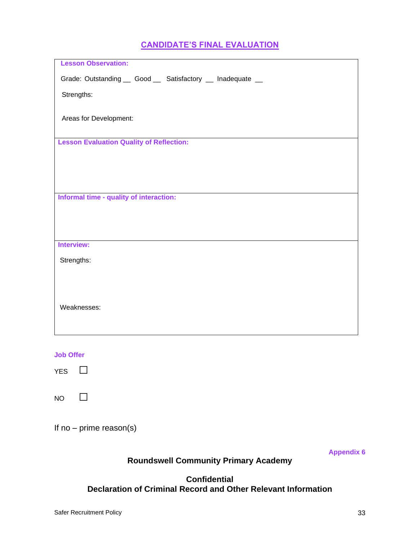## **CANDIDATE'S FINAL EVALUATION**

| <b>Lesson Observation:</b>                                  |
|-------------------------------------------------------------|
| Grade: Outstanding __ Good __ Satisfactory __ Inadequate __ |
| Strengths:                                                  |
| Areas for Development:                                      |
| <b>Lesson Evaluation Quality of Reflection:</b>             |
|                                                             |
|                                                             |
|                                                             |
| Informal time - quality of interaction:                     |
|                                                             |
|                                                             |
| Interview:                                                  |
| Strengths:                                                  |
|                                                             |
|                                                             |
|                                                             |
| Weaknesses:                                                 |
|                                                             |
|                                                             |
|                                                             |

**Job Offer**

YES □

 $NO$   $\Box$ 

If no – prime reason(s)

**Appendix 6**

## **Roundswell Community Primary Academy**

## **Confidential Declaration of Criminal Record and Other Relevant Information**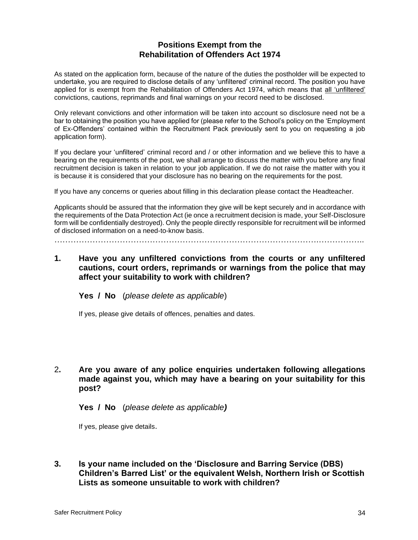## **Positions Exempt from the Rehabilitation of Offenders Act 1974**

As stated on the application form, because of the nature of the duties the postholder will be expected to undertake, you are required to disclose details of any 'unfiltered' criminal record. The position you have applied for is exempt from the Rehabilitation of Offenders Act 1974, which means that all 'unfiltered' convictions, cautions, reprimands and final warnings on your record need to be disclosed.

Only relevant convictions and other information will be taken into account so disclosure need not be a bar to obtaining the position you have applied for (please refer to the School's policy on the 'Employment of Ex-Offenders' contained within the Recruitment Pack previously sent to you on requesting a job application form).

If you declare your 'unfiltered' criminal record and / or other information and we believe this to have a bearing on the requirements of the post, we shall arrange to discuss the matter with you before any final recruitment decision is taken in relation to your job application. If we do not raise the matter with you it is because it is considered that your disclosure has no bearing on the requirements for the post.

If you have any concerns or queries about filling in this declaration please contact the Headteacher.

Applicants should be assured that the information they give will be kept securely and in accordance with the requirements of the Data Protection Act (ie once a recruitment decision is made, your Self-Disclosure form will be confidentially destroyed). Only the people directly responsible for recruitment will be informed of disclosed information on a need-to-know basis.

…………………………………………………………………………………….……………..

**1. Have you any unfiltered convictions from the courts or any unfiltered cautions, court orders, reprimands or warnings from the police that may affect your suitability to work with children?**

**Yes / No** (*please delete as applicable*)

If yes, please give details of offences, penalties and dates.

2**. Are you aware of any police enquiries undertaken following allegations made against you, which may have a bearing on your suitability for this post?**

**Yes / No** (*please delete as applicable)*

If yes, please give details.

**3. Is your name included on the 'Disclosure and Barring Service (DBS) Children's Barred List' or the equivalent Welsh, Northern Irish or Scottish Lists as someone unsuitable to work with children?**